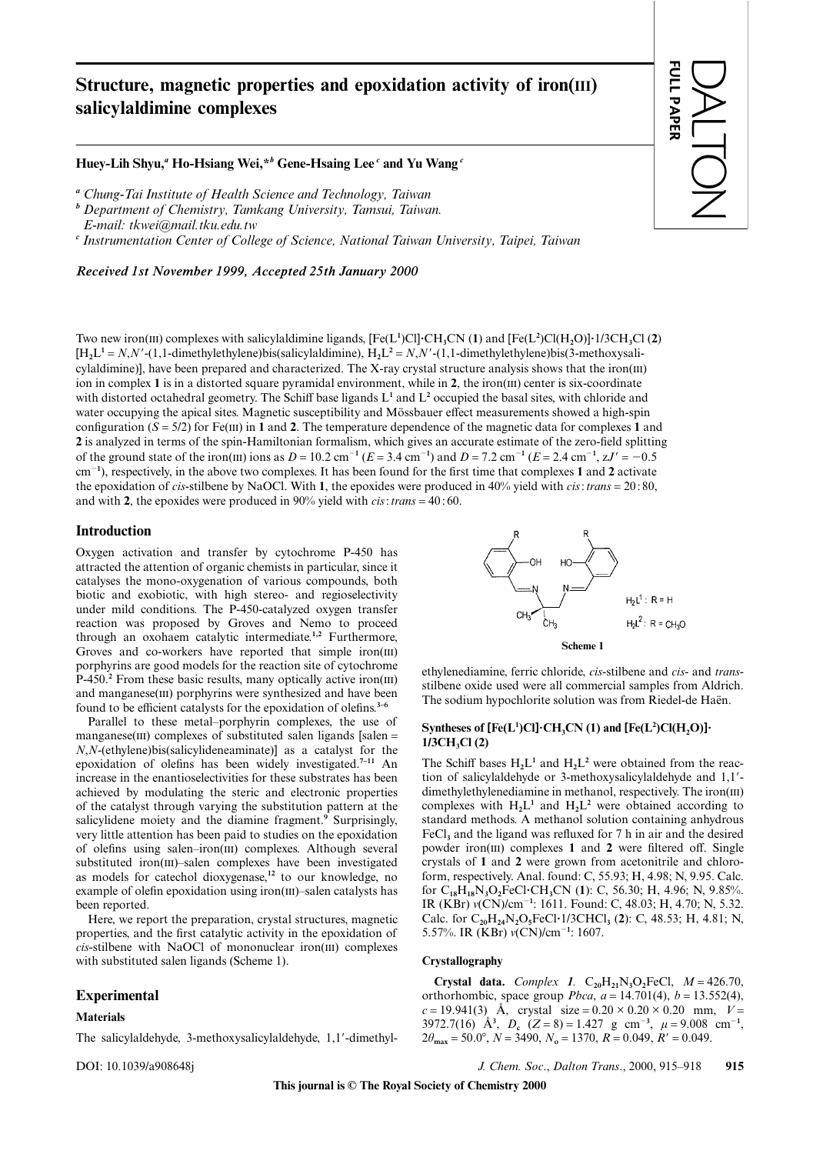# **Structure, magnetic properties and epoxidation activity of iron(III) salicylaldimine complexes**

# **Huey-Lih Shyu,***<sup>a</sup>* **Ho-Hsiang Wei,\****<sup>b</sup>*  **Gene-Hsaing Lee** *<sup>c</sup>*  **and Yu Wang** *<sup>c</sup>*

*<sup>a</sup> Chung-Tai Institute of Health Science and Technology, Taiwan*

*<sup>b</sup> Department of Chemistry, Tamkang University, Tamsui, Taiwan. E-mail: tkwei@mail.tku.edu.tw*

*<sup>c</sup> Instrumentation Center of College of Science, National Taiwan University, Taipei, Taiwan*

*Received 1st November 1999, Accepted 25th January 2000*

FULL PAPER DALTON **ULL PAPER** 

Two new iron(III) complexes with salicylaldimine ligands,  $[Fe(L<sup>1</sup>)Cl]CH<sub>3</sub>CN$  (1) and  $[Fe(L<sup>2</sup>)Cl(H<sub>2</sub>O)]<sup>1</sup>1/3CH<sub>3</sub>Cl$  (2)  $[H_2L^1 = N, N'$ -(1,1-dimethylethylene)bis(salicylaldimine),  $H_2L^2 = N, N'$ -(1,1-dimethylethylene)bis(3-methoxysalicylaldimine)], have been prepared and characterized. The X-ray crystal structure analysis shows that the iron( $\text{III}$ ) ion in complex 1 is in a distorted square pyramidal environment, while in 2, the iron(III) center is six-coordinate with distorted octahedral geometry. The Schiff base ligands  $L^1$  and  $L^2$  occupied the basal sites, with chloride and water occupying the apical sites. Magnetic susceptibility and Mössbauer effect measurements showed a high-spin configuration  $(S = 5/2)$  for Fe(III) in 1 and 2. The temperature dependence of the magnetic data for complexes 1 and **2** is analyzed in terms of the spin-Hamiltonian formalism, which gives an accurate estimate of the zero-field splitting of the ground state of the iron(III) ions as  $D = 10.2$  cm<sup>-1</sup> ( $E = 3.4$  cm<sup>-1</sup>) and  $D = 7.2$  cm<sup>-1</sup> ( $E = 2.4$  cm<sup>-1</sup>,  $zJ' = -0.5$ cm-**1** ), respectively, in the above two complexes. It has been found for the first time that complexes **1** and **2** activate the epoxidation of *cis*-stilbene by NaOCl. With **1**, the epoxides were produced in 40% yield with *cis*:*trans* = 20 : 80, and with **2**, the epoxides were produced in 90% yield with *cis*:*trans* = 40 : 60.

# **Introduction**

Oxygen activation and transfer by cytochrome P-450 has attracted the attention of organic chemists in particular, since it catalyses the mono-oxygenation of various compounds, both biotic and exobiotic, with high stereo- and regioselectivity under mild conditions. The P-450-catalyzed oxygen transfer reaction was proposed by Groves and Nemo to proceed through an oxohaem catalytic intermediate.**1,2** Furthermore, Groves and co-workers have reported that simple iron(III) porphyrins are good models for the reaction site of cytochrome P-450.<sup>2</sup> From these basic results, many optically active iron(III) and manganese(III) porphyrins were synthesized and have been found to be efficient catalysts for the epoxidation of olefins.**3–6**

Parallel to these metal–porphyrin complexes, the use of manganese(III) complexes of substituted salen ligands [salen = *N*,*N*-(ethylene)bis(salicylideneaminate)] as a catalyst for the epoxidation of olefins has been widely investigated.**7–11** An increase in the enantioselectivities for these substrates has been achieved by modulating the steric and electronic properties of the catalyst through varying the substitution pattern at the salicylidene moiety and the diamine fragment.**<sup>9</sup>** Surprisingly, very little attention has been paid to studies on the epoxidation of olefins using salen–iron(III) complexes. Although several substituted iron(III)-salen complexes have been investigated as models for catechol dioxygenase,**<sup>12</sup>** to our knowledge, no example of olefin epoxidation using iron $(III)$ –salen catalysts has been reported.

Here, we report the preparation, crystal structures, magnetic properties, and the first catalytic activity in the epoxidation of *cis*-stilbene with NaOCl of mononuclear iron(III) complexes with substituted salen ligands (Scheme 1).

## **Experimental**

## **Materials**

The salicylaldehyde, 3-methoxysalicylaldehyde, 1,1-dimethyl-



ethylenediamine, ferric chloride, *cis*-stilbene and *cis*- and *trans*stilbene oxide used were all commercial samples from Aldrich. The sodium hypochlorite solution was from Riedel-de Haën.

## **Syntheses of**  $[Fe(L^1)Cl] \cdot CH_3CN$  **(1) and**  $[Fe(L^2)Cl(H_2O)] \cdot$ **1/3CH3Cl (2)**

The Schiff bases  $H_2L^1$  and  $H_2L^2$  were obtained from the reaction of salicylaldehyde or 3-methoxysalicylaldehyde and 1,1 dimethylethylenediamine in methanol, respectively. The iron(III) complexes with  $H_2L^1$  and  $H_2L^2$  were obtained according to standard methods. A methanol solution containing anhydrous FeCl<sub>3</sub> and the ligand was refluxed for 7 h in air and the desired powder iron(III) complexes 1 and 2 were filtered off. Single crystals of **1** and **2** were grown from acetonitrile and chloroform, respectively. Anal. found: C, 55.93; H, 4.98; N, 9.95. Calc. for C**18**H**18**N**3**O**2**FeClCH**3**CN (**1**): C, 56.30; H, 4.96; N, 9.85%. IR (KBr) ν(CN)/cm-**1** : 1611. Found: C, 48.03; H, 4.70; N, 5.32. Calc. for C**20**H**24**N**2**O**5**FeCl1/3CHCl**3** (**2**): C, 48.53; H, 4.81; N, 5.57%. IR (KBr) ν(CN)/cm-**1** : 1607.

# **Crystallography**

**Crystal data.** *Complex 1.*  $C_{20}H_{21}N_3O_2$ FeCl,  $M = 426.70$ , orthorhombic, space group *Pbca*,  $a = 14.701(4)$ ,  $b = 13.552(4)$ ,  $c = 19.941(3)$  Å, crystal size =  $0.20 \times 0.20 \times 0.20$  mm,  $V =$ 3972.7(16) Å<sup>3</sup>,  $D_c$  ( $Z = 8$ ) = 1.427 g cm<sup>-3</sup>,  $\mu = 9.008$  cm<sup>-1</sup>,  $2\theta_{\text{max}} = 50.0^{\circ}, N = 3490, N_o = 1370, R = 0.049, R' = 0.049.$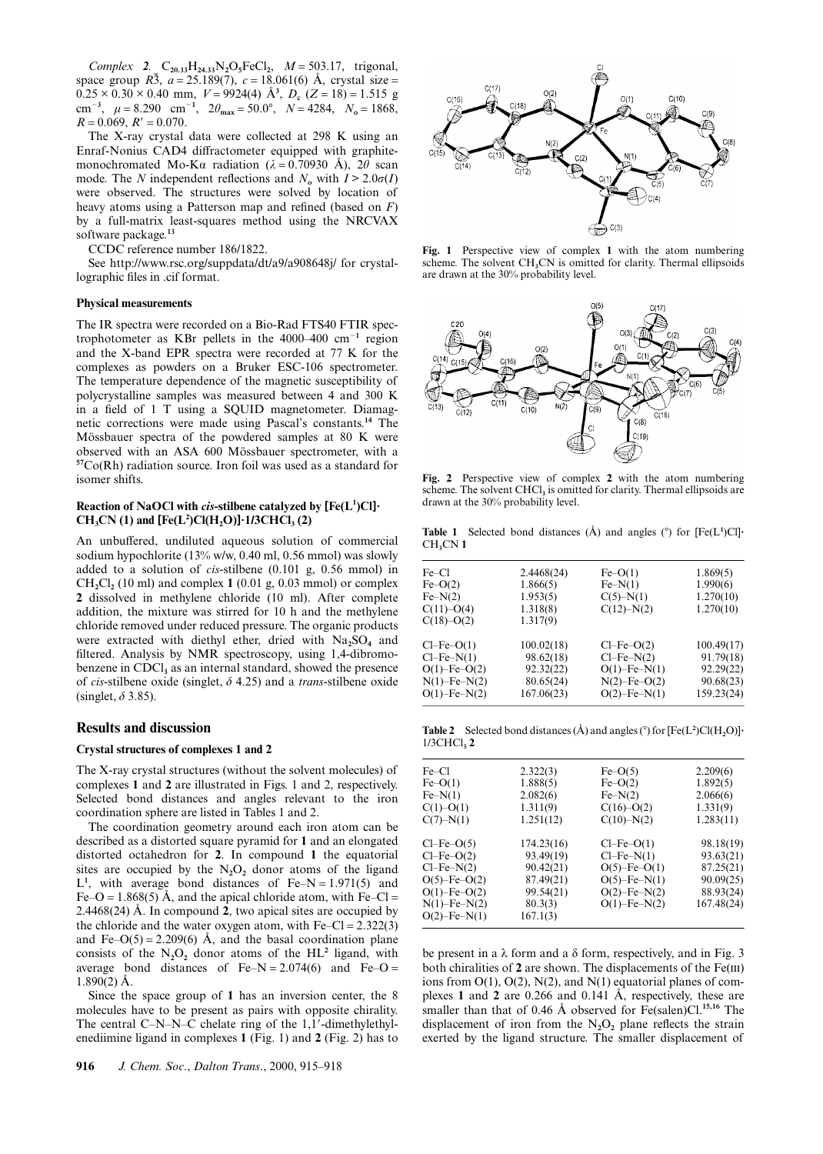*Complex*  **2**.  $C_{20.33}H_{24.33}N_2O_5FeCl_2$ ,  $M = 503.17$ , trigonal, space group  $\overline{R_3}$ ,  $a = 25.189(7)$ ,  $c = 18.061(6)$  Å, crystal size =  $0.25 \times 0.30 \times 0.40$  mm,  $V = 9924(4)$  Å<sup>3</sup>,  $D_c$  ( $Z = 18$ ) = 1.515 g cm<sup>-3</sup>,  $\mu = 8.290 \text{ cm}^{-1}$ ,  $2\theta_{\text{max}} = 50.0^{\circ}$ ,  $N = 4284$ ,  $N_o = 1868$ ,  $R = 0.069$ ,  $R' = 0.070$ .

The X-ray crystal data were collected at 298 K using an Enraf-Nonius CAD4 diffractometer equipped with graphitemonochromated Mo-Ka radiation ( $\lambda = 0.70930$  Å),  $2\theta$  scan mode. The *N* independent reflections and  $N_0$  with  $I > 2.0\sigma(I)$ were observed. The structures were solved by location of heavy atoms using a Patterson map and refined (based on *F*) by a full-matrix least-squares method using the NRCVAX software package.**<sup>13</sup>**

CCDC reference number 186/1822.

See http://www.rsc.org/suppdata/dt/a9/a908648j/ for crystallographic files in .cif format.

#### **Physical measurements**

The IR spectra were recorded on a Bio-Rad FTS40 FTIR spectrophotometer as KBr pellets in the  $4000-400$  cm<sup>-1</sup> region and the X-band EPR spectra were recorded at 77 K for the complexes as powders on a Bruker ESC-106 spectrometer. The temperature dependence of the magnetic susceptibility of polycrystalline samples was measured between 4 and 300 K in a field of 1 T using a SQUID magnetometer. Diamagnetic corrections were made using Pascal's constants.**<sup>14</sup>** The Mössbauer spectra of the powdered samples at 80 K were observed with an ASA 600 Mössbauer spectrometer, with a **<sup>57</sup>**Co(Rh) radiation source. Iron foil was used as a standard for isomer shifts.

# Reaction of NaOCl with *cis*-stilbene catalyzed by [Fe(L<sup>1</sup>)Cl]<sup>2</sup>  $CH_3CN$  (1) and  $[Fe(L^2)Cl(H_2O)]$ **·1/3CHCl**<sub>3</sub> (2)

An unbuffered, undiluted aqueous solution of commercial sodium hypochlorite (13% w/w, 0.40 ml, 0.56 mmol) was slowly added to a solution of *cis*-stilbene (0.101 g, 0.56 mmol) in  $CH<sub>2</sub>Cl<sub>2</sub>$  (10 ml) and complex 1 (0.01 g, 0.03 mmol) or complex **2** dissolved in methylene chloride (10 ml). After complete addition, the mixture was stirred for 10 h and the methylene chloride removed under reduced pressure. The organic products were extracted with diethyl ether, dried with Na<sub>2</sub>SO<sub>4</sub> and filtered. Analysis by NMR spectroscopy, using 1,4-dibromobenzene in CDCl<sub>3</sub> as an internal standard, showed the presence of *cis*-stilbene oxide (singlet, δ 4.25) and a *trans*-stilbene oxide (singlet,  $\delta$  3.85).

# **Results and discussion**

### **Crystal structures of complexes 1 and 2**

The X-ray crystal structures (without the solvent molecules) of complexes **1** and **2** are illustrated in Figs. 1 and 2, respectively. Selected bond distances and angles relevant to the iron coordination sphere are listed in Tables 1 and 2.

The coordination geometry around each iron atom can be described as a distorted square pyramid for **1** and an elongated distorted octahedron for **2**. In compound **1** the equatorial sites are occupied by the  $N_2O_2$  donor atoms of the ligand  $L^1$ , with average bond distances of Fe–N = 1.971(5) and Fe–O = 1.868(5) Å, and the apical chloride atom, with Fe–Cl = 2.4468(24) Å. In compound **2**, two apical sites are occupied by the chloride and the water oxygen atom, with  $Fe-Cl = 2.322(3)$ and Fe–O(5) = 2.209(6) Å, and the basal coordination plane consists of the  $N_2O_2$  donor atoms of the  $HL^2$  ligand, with average bond distances of  $Fe-N = 2.074(6)$  and  $Fe-O =$ 1.890(2) Å.

Since the space group of **1** has an inversion center, the 8 molecules have to be present as pairs with opposite chirality. The central C–N–N–C chelate ring of the  $1,1'$ -dimethylethylenediimine ligand in complexes **1** (Fig. 1) and **2** (Fig. 2) has to



**Fig. 1** Perspective view of complex **1** with the atom numbering scheme. The solvent CH<sub>3</sub>CN is omitted for clarity. Thermal ellipsoids are drawn at the 30% probability level.



**Fig. 2** Perspective view of complex **2** with the atom numbering scheme. The solvent CHCl<sub>3</sub> is omitted for clarity. Thermal ellipsoids are drawn at the 30% probability level.

**Table 1** Selected bond distances  $(A)$  and angles  $(\degree)$  for  $[Fe(L^1)Cl]$ . CH**3**CN **1**

| Fe–Cl              | 2.4468(24) | $Fe-O(1)$       | 1.869(5)   |
|--------------------|------------|-----------------|------------|
| $Fe-O(2)$          | 1.866(5)   | $Fe-N(1)$       | 1.990(6)   |
| $Fe-N(2)$          | 1.953(5)   | $C(5)-N(1)$     | 1.270(10)  |
| $C(11)-O(4)$       | 1.318(8)   | $C(12) - N(2)$  | 1.270(10)  |
| $C(18)-O(2)$       | 1.317(9)   |                 |            |
| $Cl-Fe-O(1)$       | 100.02(18) | $Cl-Fe-O(2)$    | 100.49(17) |
| $Cl-Fe-N(1)$       | 98.62(18)  | $Cl-Fe-N(2)$    | 91.79(18)  |
| $O(1)$ -Fe- $O(2)$ | 92.32(22)  | $O(1)$ -Fe-N(1) | 92.29(22)  |
| $N(1)$ -Fe- $N(2)$ | 80.65(24)  | $N(2)$ -Fe-O(2) | 90.68(23)  |
| $O(1)$ -Fe-N(2)    | 167.06(23) | $O(2)$ -Fe-N(1) | 159.23(24) |
|                    |            |                 |            |

**Table 2** Selected bond distances ( $\AA$ ) and angles ( $\degree$ ) for  $[Fe(L^2)Cl(H_2O)]$ 1/3CHCl**<sup>3</sup> 2**

| Fe–Cl              | 2.322(3)   | $Fe-O(5)$          | 2.209(6)   |
|--------------------|------------|--------------------|------------|
| $Fe-O(1)$          | 1.888(5)   | $Fe-O(2)$          | 1.892(5)   |
| $Fe-N(1)$          | 2.082(6)   | $Fe-N(2)$          | 2.066(6)   |
| $C(1) - O(1)$      | 1.311(9)   | $C(16)-O(2)$       | 1.331(9)   |
| $C(7) - N(1)$      | 1.251(12)  | $C(10) - N(2)$     | 1.283(11)  |
| $Cl-Fe-O(5)$       | 174.23(16) | $Cl-Fe-O(1)$       | 98.18(19)  |
| $Cl-Fe-O(2)$       | 93.49(19)  | $Cl-Fe-N(1)$       | 93.63(21)  |
| $Cl-Fe-N(2)$       | 90.42(21)  | $O(5)$ -Fe- $O(1)$ | 87.25(21)  |
| $O(5)$ -Fe-O(2)    | 87.49(21)  | $O(5)$ -Fe-N(1)    | 90.09(25)  |
| $O(1)$ -Fe- $O(2)$ | 99.54(21)  | $O(2)$ -Fe-N $(2)$ | 88.93(24)  |
| $N(1)$ -Fe- $N(2)$ | 80.3(3)    | $O(1)$ -Fe-N(2)    | 167.48(24) |
| $O(2)$ -Fe-N(1)    | 167.1(3)   |                    |            |
|                    |            |                    |            |

be present in a  $\lambda$  form and a  $\delta$  form, respectively, and in Fig. 3 both chiralities of  $2$  are shown. The displacements of the  $Fe(III)$ ions from  $O(1)$ ,  $O(2)$ ,  $N(2)$ , and  $N(1)$  equatorial planes of complexes **1** and **2** are 0.266 and 0.141 Å, respectively, these are smaller than that of 0.46 Å observed for Fe(salen)Cl.**15,16** The displacement of iron from the  $N_2O_2$  plane reflects the strain exerted by the ligand structure. The smaller displacement of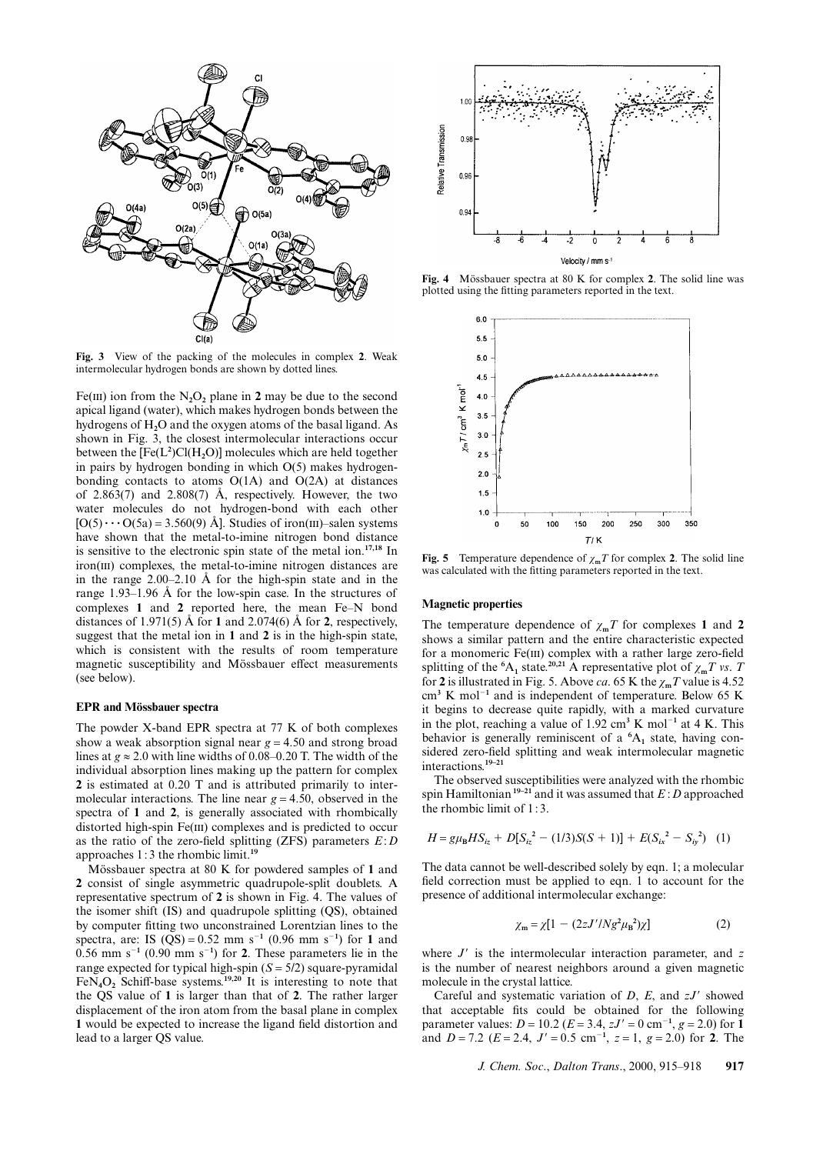

**Fig. 3** View of the packing of the molecules in complex **2**. Weak intermolecular hydrogen bonds are shown by dotted lines.

Fe(III) ion from the  $N_2O_2$  plane in 2 may be due to the second apical ligand (water), which makes hydrogen bonds between the hydrogens of H**2**O and the oxygen atoms of the basal ligand. As shown in Fig. 3, the closest intermolecular interactions occur between the [Fe(L**<sup>2</sup>** )Cl(H**2**O)] molecules which are held together in pairs by hydrogen bonding in which O(5) makes hydrogenbonding contacts to atoms  $O(1A)$  and  $O(2A)$  at distances of 2.863(7) and 2.808(7) Å, respectively. However, the two water molecules do not hydrogen-bond with each other  $[O(5) \cdots O(5a) = 3.560(9)$  Å. Studies of iron(III)–salen systems have shown that the metal-to-imine nitrogen bond distance is sensitive to the electronic spin state of the metal ion.**17,18** In iron(III) complexes, the metal-to-imine nitrogen distances are in the range 2.00–2.10 Å for the high-spin state and in the range 1.93–1.96 Å for the low-spin case. In the structures of complexes **1** and **2** reported here, the mean Fe–N bond distances of 1.971(5) Å for **1** and 2.074(6) Å for **2**, respectively, suggest that the metal ion in **1** and **2** is in the high-spin state, which is consistent with the results of room temperature magnetic susceptibility and Mössbauer effect measurements (see below).

### **EPR and Mössbauer spectra**

The powder X-band EPR spectra at 77 K of both complexes show a weak absorption signal near  $g = 4.50$  and strong broad lines at  $g \approx 2.0$  with line widths of 0.08–0.20 T. The width of the individual absorption lines making up the pattern for complex **2** is estimated at 0.20 T and is attributed primarily to intermolecular interactions. The line near  $g = 4.50$ , observed in the spectra of **1** and **2**, is generally associated with rhombically distorted high-spin  $Fe(III)$  complexes and is predicted to occur as the ratio of the zero-field splitting (ZFS) parameters *E*:*D* approaches 1 : 3 the rhombic limit.**<sup>19</sup>**

Mössbauer spectra at 80 K for powdered samples of **1** and **2** consist of single asymmetric quadrupole-split doublets. A representative spectrum of **2** is shown in Fig. 4. The values of the isomer shift (IS) and quadrupole splitting (QS), obtained by computer fitting two unconstrained Lorentzian lines to the spectra, are: IS  $(QS) = 0.52$  mm s<sup>-1</sup>  $(0.96$  mm s<sup>-1</sup>) for 1 and  $0.56$  mm s<sup>-1</sup> (0.90 mm s<sup>-1</sup>) for 2. These parameters lie in the range expected for typical high-spin (*S* = 5/2) square-pyramidal  $Fe\overline{N}_4O_2$  Schiff-base systems.<sup>19,20</sup> It is interesting to note that the QS value of **1** is larger than that of **2**. The rather larger displacement of the iron atom from the basal plane in complex **1** would be expected to increase the ligand field distortion and lead to a larger QS value.



**Fig. 4** Mössbauer spectra at 80 K for complex **2**. The solid line was plotted using the fitting parameters reported in the text.



**Fig. 5** Temperature dependence of  $\chi_m T$  for complex 2. The solid line was calculated with the fitting parameters reported in the text.

### **Magnetic properties**

The temperature dependence of  $\chi_m T$  for complexes 1 and 2 shows a similar pattern and the entire characteristic expected for a monomeric  $Fe(III)$  complex with a rather large zero-field splitting of the <sup>6</sup>A<sub>1</sub> state.<sup>20,21</sup> A representative plot of  $\chi_{\rm m}T$  *vs. T* for 2 is illustrated in Fig. 5. Above *ca*. 65 K the  $\chi_{\rm m}T$  value is 4.52  $\text{cm}^3$  K mol<sup>-1</sup> and is independent of temperature. Below 65 K it begins to decrease quite rapidly, with a marked curvature in the plot, reaching a value of  $1.92 \text{ cm}^3 \text{ K} \text{ mol}^{-1}$  at 4 K. This behavior is generally reminiscent of a  ${}^{6}A_1$  state, having considered zero-field splitting and weak intermolecular magnetic interactions.**19–21**

The observed susceptibilities were analyzed with the rhombic spin Hamiltonian**19–21** and it was assumed that *E* :*D* approached the rhombic limit of 1 : 3.

$$
H = g\mu_B HS_{iz} + D[S_{iz}^2 - (1/3)S(S+1)] + E(S_{ix}^2 - S_{iy}^2)
$$
 (1)

The data cannot be well-described solely by eqn. 1; a molecular field correction must be applied to eqn. 1 to account for the presence of additional intermolecular exchange:

$$
\chi_{\mathbf{m}} = \chi \left[ 1 - \left( 2z J' / N g^2 \mu_{\mathbf{B}}^2 \right) \chi \right] \tag{2}
$$

where *J'* is the intermolecular interaction parameter, and *z* is the number of nearest neighbors around a given magnetic molecule in the crystal lattice.

Careful and systematic variation of *D*, *E*, and *zJ* showed that acceptable fits could be obtained for the following parameter values:  $D = 10.2$  ( $E = 3.4$ ,  $zJ' = 0$  cm<sup>-1</sup>,  $g = 2.0$ ) for 1 and  $D = 7.2$  ( $E = 2.4$ ,  $J' = 0.5$  cm<sup>-1</sup>,  $z = 1$ ,  $g = 2.0$ ) for 2. The